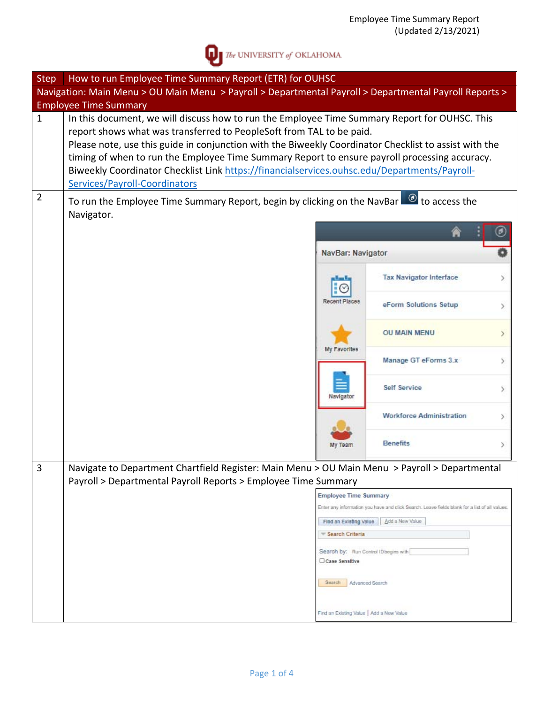

 $\sum$  The UNIVERSITY of OKLAHOMA

| <b>Step</b>    | How to run Employee Time Summary Report (ETR) for OUHSC                                                                                                                                                                                                                                                                                                                                                                                                                                                          |                                          |                                                                                               |  |  |  |  |  |  |  |
|----------------|------------------------------------------------------------------------------------------------------------------------------------------------------------------------------------------------------------------------------------------------------------------------------------------------------------------------------------------------------------------------------------------------------------------------------------------------------------------------------------------------------------------|------------------------------------------|-----------------------------------------------------------------------------------------------|--|--|--|--|--|--|--|
|                | Navigation: Main Menu > OU Main Menu > Payroll > Departmental Payroll > Departmental Payroll Reports >                                                                                                                                                                                                                                                                                                                                                                                                           |                                          |                                                                                               |  |  |  |  |  |  |  |
|                | <b>Employee Time Summary</b>                                                                                                                                                                                                                                                                                                                                                                                                                                                                                     |                                          |                                                                                               |  |  |  |  |  |  |  |
| $\mathbf{1}$   | In this document, we will discuss how to run the Employee Time Summary Report for OUHSC. This<br>report shows what was transferred to PeopleSoft from TAL to be paid.<br>Please note, use this guide in conjunction with the Biweekly Coordinator Checklist to assist with the<br>timing of when to run the Employee Time Summary Report to ensure payroll processing accuracy.<br>Biweekly Coordinator Checklist Link https://financialservices.ouhsc.edu/Departments/Payroll-<br>Services/Payroll-Coordinators |                                          |                                                                                               |  |  |  |  |  |  |  |
| $\overline{2}$ | To run the Employee Time Summary Report, begin by clicking on the NavBar <sup>6</sup> to access the<br>Navigator.                                                                                                                                                                                                                                                                                                                                                                                                |                                          |                                                                                               |  |  |  |  |  |  |  |
|                |                                                                                                                                                                                                                                                                                                                                                                                                                                                                                                                  |                                          |                                                                                               |  |  |  |  |  |  |  |
|                |                                                                                                                                                                                                                                                                                                                                                                                                                                                                                                                  | NavBar: Navigator                        |                                                                                               |  |  |  |  |  |  |  |
|                |                                                                                                                                                                                                                                                                                                                                                                                                                                                                                                                  |                                          | <b>Tax Navigator Interface</b>                                                                |  |  |  |  |  |  |  |
|                |                                                                                                                                                                                                                                                                                                                                                                                                                                                                                                                  | Recent Places                            | eForm Solutions Setup                                                                         |  |  |  |  |  |  |  |
|                |                                                                                                                                                                                                                                                                                                                                                                                                                                                                                                                  | My Favorites                             | <b>OU MAIN MENU</b>                                                                           |  |  |  |  |  |  |  |
|                |                                                                                                                                                                                                                                                                                                                                                                                                                                                                                                                  |                                          | Manage GT eForms 3.x                                                                          |  |  |  |  |  |  |  |
|                |                                                                                                                                                                                                                                                                                                                                                                                                                                                                                                                  | Navigator                                | <b>Self Service</b>                                                                           |  |  |  |  |  |  |  |
|                |                                                                                                                                                                                                                                                                                                                                                                                                                                                                                                                  |                                          | <b>Workforce Administration</b>                                                               |  |  |  |  |  |  |  |
|                |                                                                                                                                                                                                                                                                                                                                                                                                                                                                                                                  | My Team                                  | <b>Benefits</b>                                                                               |  |  |  |  |  |  |  |
| 3              | Navigate to Department Chartfield Register: Main Menu > OU Main Menu > Payroll > Departmental                                                                                                                                                                                                                                                                                                                                                                                                                    |                                          |                                                                                               |  |  |  |  |  |  |  |
|                | Payroll > Departmental Payroll Reports > Employee Time Summary                                                                                                                                                                                                                                                                                                                                                                                                                                                   |                                          |                                                                                               |  |  |  |  |  |  |  |
|                |                                                                                                                                                                                                                                                                                                                                                                                                                                                                                                                  | <b>Employee Time Summary</b>             |                                                                                               |  |  |  |  |  |  |  |
|                |                                                                                                                                                                                                                                                                                                                                                                                                                                                                                                                  |                                          | Enter any information you have and click Search. Leave fields blank for a list of all values. |  |  |  |  |  |  |  |
|                |                                                                                                                                                                                                                                                                                                                                                                                                                                                                                                                  | Find an Existing Value                   | Add a New Value                                                                               |  |  |  |  |  |  |  |
|                |                                                                                                                                                                                                                                                                                                                                                                                                                                                                                                                  | Search Criteria                          |                                                                                               |  |  |  |  |  |  |  |
|                |                                                                                                                                                                                                                                                                                                                                                                                                                                                                                                                  | Search by: Run Control ID begins with    |                                                                                               |  |  |  |  |  |  |  |
|                |                                                                                                                                                                                                                                                                                                                                                                                                                                                                                                                  | Case Sensitive                           |                                                                                               |  |  |  |  |  |  |  |
|                |                                                                                                                                                                                                                                                                                                                                                                                                                                                                                                                  | Search<br>Advanced Search                |                                                                                               |  |  |  |  |  |  |  |
|                |                                                                                                                                                                                                                                                                                                                                                                                                                                                                                                                  | Find an Existing Value   Add a New Value |                                                                                               |  |  |  |  |  |  |  |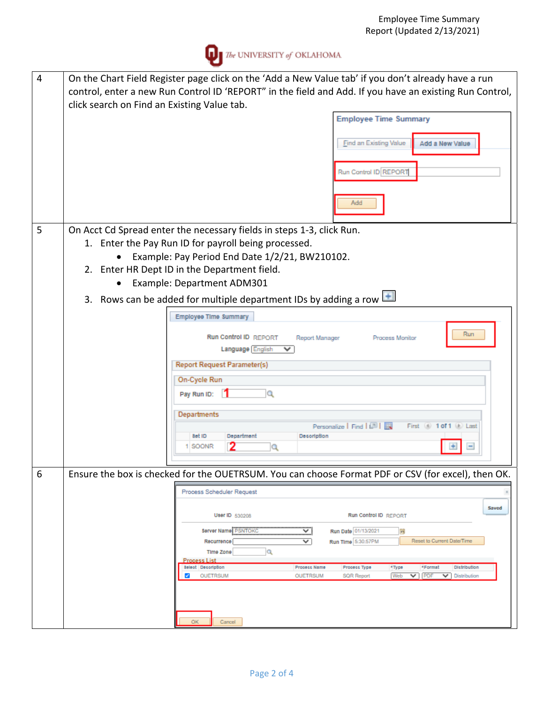

| 4 | On the Chart Field Register page click on the 'Add a New Value tab' if you don't already have a run<br>control, enter a new Run Control ID 'REPORT" in the field and Add. If you have an existing Run Control,<br>click search on Find an Existing Value tab. |
|---|---------------------------------------------------------------------------------------------------------------------------------------------------------------------------------------------------------------------------------------------------------------|
|   | <b>Employee Time Summary</b>                                                                                                                                                                                                                                  |
|   |                                                                                                                                                                                                                                                               |
|   | Find an Existing Value<br>Add a New Value                                                                                                                                                                                                                     |
|   | Run Control ID REPORT                                                                                                                                                                                                                                         |
|   |                                                                                                                                                                                                                                                               |
|   | Add                                                                                                                                                                                                                                                           |
| 5 | On Acct Cd Spread enter the necessary fields in steps 1-3, click Run.                                                                                                                                                                                         |
|   | Enter the Pay Run ID for payroll being processed.<br>1.                                                                                                                                                                                                       |
|   | Example: Pay Period End Date 1/2/21, BW210102.                                                                                                                                                                                                                |
|   | 2. Enter HR Dept ID in the Department field.                                                                                                                                                                                                                  |
|   | Example: Department ADM301                                                                                                                                                                                                                                    |
|   | 3. Rows can be added for multiple department IDs by adding a row $\left  \bullet \right $                                                                                                                                                                     |
|   | Employee Time Summary                                                                                                                                                                                                                                         |
|   | Run<br><b>Run Control ID REPORT</b><br>Process Monitor                                                                                                                                                                                                        |
|   | Report Manager<br>Language English<br>$\checkmark$                                                                                                                                                                                                            |
|   | <b>Report Request Parameter(s)</b>                                                                                                                                                                                                                            |
|   | On-Cycle Run                                                                                                                                                                                                                                                  |
|   | Pay Run ID:<br>Q                                                                                                                                                                                                                                              |
|   | Departments                                                                                                                                                                                                                                                   |
|   | Personalize   Find   2      <br>First (4) 1 of 1 (4) Last                                                                                                                                                                                                     |
|   | 8et ID<br>Department<br>Desoription<br>1 SOONR<br>Q                                                                                                                                                                                                           |
|   |                                                                                                                                                                                                                                                               |
| 6 | Ensure the box is checked for the OUETRSUM. You can choose Format PDF or CSV (for excel), then OK.                                                                                                                                                            |
|   | Process Scheduler Request                                                                                                                                                                                                                                     |
|   | Saved                                                                                                                                                                                                                                                         |
|   | <b>Run Control ID REPORT</b><br>User ID 530208                                                                                                                                                                                                                |
|   | ⊻<br>Run Date 01/13/2021<br>Server Name PSNTOKC<br>$\mathbf{r}$<br>Reset to Current Date/Time                                                                                                                                                                 |
|   | ∀<br>Run Time 5:30:57PM<br>Recurrence<br>Q<br><b>Time Zone</b>                                                                                                                                                                                                |
|   | <b>Process List</b><br><b>Select</b> Description<br>*Type<br>Distribution<br>Process Name<br>Process Type<br>*Format                                                                                                                                          |
|   | PDF<br>Web<br><b>OUETRSUM</b><br><b>OUETRSUM</b><br><b>SQR Report</b><br>$\checkmark$<br>$\checkmark$<br>Distribution<br>$\mathcal{L}$                                                                                                                        |
|   |                                                                                                                                                                                                                                                               |
|   |                                                                                                                                                                                                                                                               |
|   | ОΚ<br>Cancel                                                                                                                                                                                                                                                  |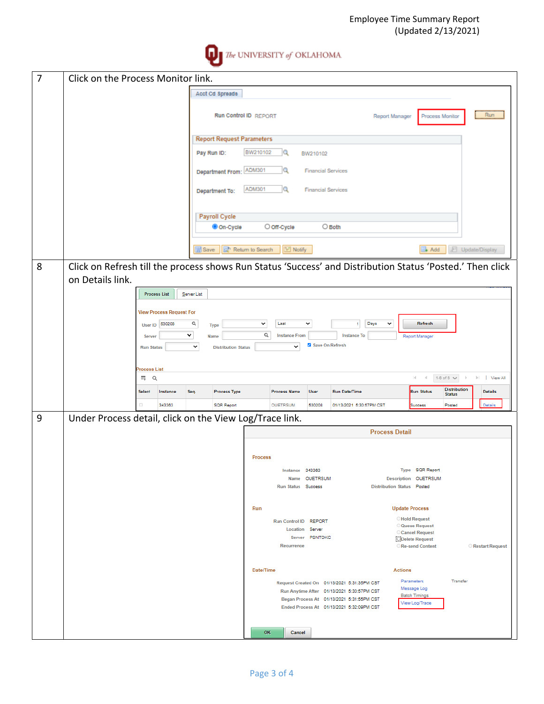

| $\overline{7}$ | Click on the Process Monitor link.                                                                                  |                             |                                 |              |                                    |                            |                              |                                   |                                                                                         |                            |                                             |                                      |                 |
|----------------|---------------------------------------------------------------------------------------------------------------------|-----------------------------|---------------------------------|--------------|------------------------------------|----------------------------|------------------------------|-----------------------------------|-----------------------------------------------------------------------------------------|----------------------------|---------------------------------------------|--------------------------------------|-----------------|
|                | Acct Cd Spreads                                                                                                     |                             |                                 |              |                                    |                            |                              |                                   |                                                                                         |                            |                                             |                                      |                 |
|                |                                                                                                                     |                             |                                 |              | <b>Run Control ID REPORT</b>       |                            |                              |                                   |                                                                                         | Report Manager             |                                             | Process Monitor                      | Run             |
|                |                                                                                                                     |                             |                                 |              | <b>Report Request Parameters</b>   |                            |                              |                                   |                                                                                         |                            |                                             |                                      |                 |
|                |                                                                                                                     |                             |                                 |              | Pay Run ID:                        | BW210102                   | Q                            | BW210102                          |                                                                                         |                            |                                             |                                      |                 |
|                |                                                                                                                     |                             |                                 |              | Department From: ADM301            |                            | lQ.                          |                                   | <b>Financial Services</b>                                                               |                            |                                             |                                      |                 |
|                |                                                                                                                     |                             |                                 |              | Department To:                     | <b>ADM301</b>              | Q                            |                                   | <b>Financial Services</b>                                                               |                            |                                             |                                      |                 |
|                |                                                                                                                     |                             |                                 |              | <b>Payroll Cycle</b>               |                            |                              |                                   |                                                                                         |                            |                                             |                                      |                 |
|                |                                                                                                                     |                             |                                 |              | On-Cycle                           |                            | O off-Cycle                  |                                   | $\bigcirc$ Both                                                                         |                            |                                             |                                      |                 |
|                |                                                                                                                     |                             |                                 | <b>Save</b>  |                                    | <b>St</b> Return to Search | I Notify                     |                                   |                                                                                         |                            | $*$ Add                                     |                                      | Update/Display  |
| 8              | Click on Refresh till the process shows Run Status 'Success' and Distribution Status 'Posted.' Then click           |                             |                                 |              |                                    |                            |                              |                                   |                                                                                         |                            |                                             |                                      |                 |
|                | on Details link.                                                                                                    |                             |                                 |              |                                    |                            |                              |                                   |                                                                                         |                            |                                             |                                      |                 |
|                |                                                                                                                     |                             | <b>Process List</b>             | Server List  |                                    |                            |                              |                                   |                                                                                         |                            |                                             |                                      |                 |
|                |                                                                                                                     |                             | <b>View Process Request For</b> |              |                                    |                            |                              |                                   |                                                                                         |                            |                                             |                                      |                 |
|                |                                                                                                                     |                             | User ID 530208                  | Q<br>v       | <b>Type</b>                        | $\checkmark$<br>$\alpha$   | Last<br><b>Instance From</b> | $\checkmark$                      | $\mathbf{1}$<br><b>Instance To</b>                                                      | Days<br>$\checkmark$       | Refresh                                     |                                      |                 |
|                |                                                                                                                     | Server<br><b>Run Status</b> |                                 | $\checkmark$ | Name<br><b>Distribution Status</b> |                            | v                            |                                   | Save On Refresh                                                                         |                            | <b>Report Manager</b>                       |                                      |                 |
|                |                                                                                                                     |                             |                                 |              |                                    |                            |                              |                                   |                                                                                         |                            |                                             |                                      |                 |
|                | <b>Process List</b><br>$\prec$<br>$1-6$ of $6 \vee$ $\rightarrow$<br><b>No. 1</b> View All<br>$\alpha$<br>H.<br>HŅ. |                             |                                 |              |                                    |                            |                              |                                   |                                                                                         |                            |                                             |                                      |                 |
|                |                                                                                                                     | <b>Select</b>               | Instance                        | Seq.         | <b>Process Type</b>                |                            | <b>Process Name</b>          | <b>User</b>                       | <b>Run Date/Time</b>                                                                    |                            | <b>Run Status</b>                           | <b>Distribution</b><br><b>Status</b> | <b>Details</b>  |
|                |                                                                                                                     | 0                           | 343363                          |              | <b>SQR Report</b>                  |                            | <b>OUETRSUM</b>              | 530208                            | 01/13/2021 5:30:57PM CST                                                                |                            | Success                                     | Posted                               | Details         |
| 9              | Under Process detail, click on the View Log/Trace link.                                                             |                             |                                 |              |                                    |                            |                              |                                   |                                                                                         |                            |                                             |                                      |                 |
|                |                                                                                                                     |                             |                                 |              |                                    |                            |                              |                                   |                                                                                         | <b>Process Detail</b>      |                                             |                                      |                 |
|                |                                                                                                                     |                             |                                 |              |                                    | <b>Process</b>             |                              |                                   |                                                                                         |                            |                                             |                                      |                 |
|                |                                                                                                                     |                             |                                 |              |                                    |                            |                              | Instance 343363<br>Name OUETRSUM  |                                                                                         |                            | Type SQR Report<br>Description OUETRSUM     |                                      |                 |
|                |                                                                                                                     |                             |                                 |              |                                    |                            | Run Status Success           |                                   |                                                                                         | Distribution Status Posted |                                             |                                      |                 |
|                |                                                                                                                     |                             |                                 |              |                                    | Run                        |                              |                                   |                                                                                         |                            | <b>Update Process</b>                       |                                      |                 |
|                |                                                                                                                     |                             |                                 |              |                                    |                            | Run Control ID REPORT        |                                   |                                                                                         |                            | <b>Hold Request</b><br><b>Queue Request</b> |                                      |                 |
|                |                                                                                                                     |                             |                                 |              |                                    |                            |                              | Location Server<br>Server PSNTOKC |                                                                                         |                            | Cancel Request<br><b>ODelete Request</b>    |                                      |                 |
|                |                                                                                                                     |                             |                                 |              |                                    |                            | Recurrence                   |                                   |                                                                                         |                            | Re-send Content                             |                                      | Restart Request |
|                |                                                                                                                     |                             |                                 |              |                                    | Date/Time                  |                              |                                   |                                                                                         | <b>Actions</b>             |                                             |                                      |                 |
|                |                                                                                                                     |                             |                                 |              |                                    |                            |                              |                                   | Request Created On 01/13/2021 5:31:35PM CST                                             |                            | Parameters                                  | Transfer                             |                 |
|                |                                                                                                                     |                             |                                 |              |                                    |                            |                              |                                   |                                                                                         |                            | Message Log                                 |                                      |                 |
|                |                                                                                                                     |                             |                                 |              |                                    |                            |                              |                                   | Run Anytime After 01/13/2021 5:30:57PM CST<br>Began Process At 01/13/2021 5:31:55PM CST |                            | <b>Batch Timings</b><br>View Log/Trace      |                                      |                 |
|                |                                                                                                                     |                             |                                 |              |                                    |                            |                              |                                   | Ended Process At 01/13/2021 5:32:09PM CST                                               |                            |                                             |                                      |                 |